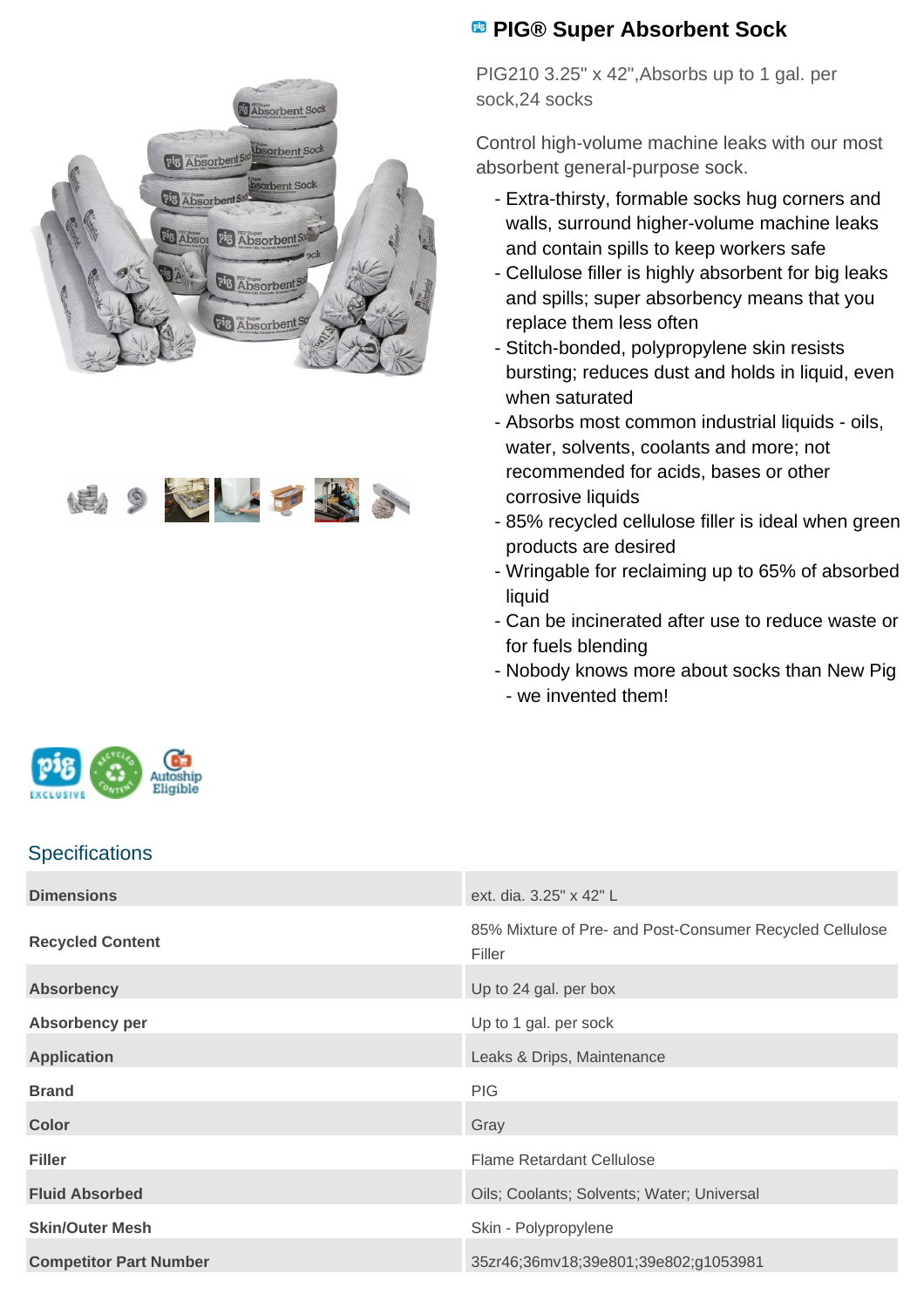



## **PIG® Super Absorbent Sock**

PIG210 3.25" x 42",Absorbs up to 1 gal. per sock,24 socks

Control high-volume machine leaks with our most absorbent general-purpose sock.

- Extra-thirsty, formable socks hug corners and walls, surround higher-volume machine leaks and contain spills to keep workers safe
- Cellulose filler is highly absorbent for big leaks and spills; super absorbency means that you replace them less often
- Stitch-bonded, polypropylene skin resists bursting; reduces dust and holds in liquid, even when saturated
- Absorbs most common industrial liquids oils, water, solvents, coolants and more; not recommended for acids, bases or other corrosive liquids
- 85% recycled cellulose filler is ideal when green products are desired
- Wringable for reclaiming up to 65% of absorbed liquid
- Can be incinerated after use to reduce waste or for fuels blending
- Nobody knows more about socks than New Pig - we invented them!



## **Specifications**

| <b>Dimensions</b>             | ext. dia. 3.25" x 42" L                                            |
|-------------------------------|--------------------------------------------------------------------|
| <b>Recycled Content</b>       | 85% Mixture of Pre- and Post-Consumer Recycled Cellulose<br>Filler |
| <b>Absorbency</b>             | Up to 24 gal. per box                                              |
| Absorbency per                | Up to 1 gal. per sock                                              |
| <b>Application</b>            | Leaks & Drips, Maintenance                                         |
| <b>Brand</b>                  | <b>PIG</b>                                                         |
| <b>Color</b>                  | Gray                                                               |
| <b>Filler</b>                 | <b>Flame Retardant Cellulose</b>                                   |
| <b>Fluid Absorbed</b>         | Oils; Coolants; Solvents; Water; Universal                         |
| <b>Skin/Outer Mesh</b>        | Skin - Polypropylene                                               |
| <b>Competitor Part Number</b> | 35zr46;36mv18;39e801;39e802;g1053981                               |